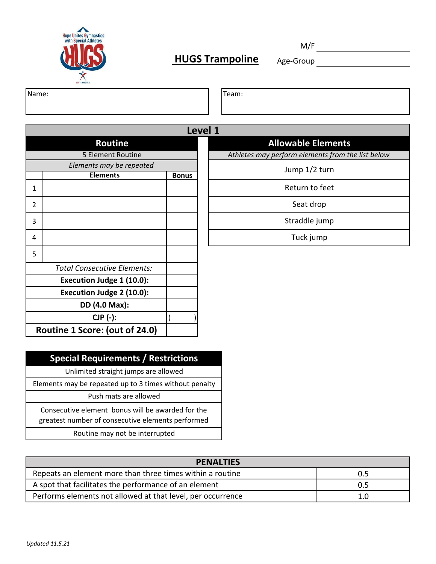

M/F

Name: Team:

|   |                                    |              | Level 1 |  |
|---|------------------------------------|--------------|---------|--|
|   | <b>Routine</b>                     |              |         |  |
|   | 5 Element Routine                  |              |         |  |
|   | Elements may be repeated           |              |         |  |
|   | <b>Elements</b>                    | <b>Bonus</b> |         |  |
| 1 |                                    |              |         |  |
| 2 |                                    |              |         |  |
| 3 |                                    |              |         |  |
| 4 |                                    |              |         |  |
| 5 |                                    |              |         |  |
|   | <b>Total Consecutive Elements:</b> |              |         |  |
|   | Execution Judge 1 (10.0):          |              |         |  |
|   | Execution Judge 2 (10.0):          |              |         |  |
|   | DD (4.0 Max):                      |              |         |  |
|   | $CJP (-):$                         |              |         |  |
|   | Routine 1 Score: (out of 24.0)     |              |         |  |

**Allowable Elements** 

*Athletes may perform elements from the list below*

Jump 1/2 turn

Return to feet

Seat drop

Straddle jump

Tuck jump

**Special Requirements / Restrictions**

Unlimited straight jumps are allowed

Elements may be repeated up to 3 times without penalty

Push mats are allowed

Consecutive element bonus will be awarded for the greatest number of consecutive elements performed

Routine may not be interrupted

| <b>PENALTIES</b>                                            |     |
|-------------------------------------------------------------|-----|
| Repeats an element more than three times within a routine   | 0.5 |
| A spot that facilitates the performance of an element       | 0.5 |
| Performs elements not allowed at that level, per occurrence | 1.0 |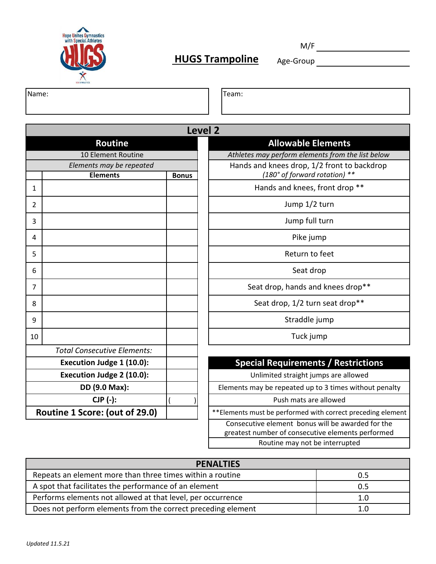

M/F

Routine may not be interrupted

Name: Team:

|                |                                                                         |              | Level <sub>2</sub>                                                                                     |  |
|----------------|-------------------------------------------------------------------------|--------------|--------------------------------------------------------------------------------------------------------|--|
|                | <b>Allowable Elements</b><br>Routine                                    |              |                                                                                                        |  |
|                | Athletes may perform elements from the list below<br>10 Element Routine |              |                                                                                                        |  |
|                | Elements may be repeated                                                |              | Hands and knees drop, 1/2 front to backdrop                                                            |  |
|                | <b>Elements</b>                                                         | <b>Bonus</b> | (180° of forward rotation) **                                                                          |  |
| 1              |                                                                         |              | Hands and knees, front drop **                                                                         |  |
| $\overline{2}$ |                                                                         |              | Jump 1/2 turn                                                                                          |  |
| 3              |                                                                         |              | Jump full turn                                                                                         |  |
| 4              |                                                                         |              | Pike jump                                                                                              |  |
| 5              |                                                                         |              | Return to feet                                                                                         |  |
| 6              |                                                                         |              | Seat drop                                                                                              |  |
| 7              |                                                                         |              | Seat drop, hands and knees drop**                                                                      |  |
| 8              |                                                                         |              | Seat drop, 1/2 turn seat drop**                                                                        |  |
| 9              |                                                                         |              | Straddle jump                                                                                          |  |
| 10             |                                                                         |              | Tuck jump                                                                                              |  |
|                | <b>Total Consecutive Elements:</b>                                      |              |                                                                                                        |  |
|                | <b>Special Requirements / Restrictions</b><br>Execution Judge 1 (10.0): |              |                                                                                                        |  |
|                | Execution Judge 2 (10.0):                                               |              | Unlimited straight jumps are allowed                                                                   |  |
|                | DD (9.0 Max):                                                           |              | Elements may be repeated up to 3 times without penalty                                                 |  |
|                | <b>CJP (-):</b>                                                         |              | Push mats are allowed                                                                                  |  |
|                | Routine 1 Score: (out of 29.0)                                          |              | ** Elements must be performed with correct preceding element                                           |  |
|                |                                                                         |              | Consecutive element bonus will be awarded for the<br>greatest number of consecutive elements performed |  |

| <b>PENALTIES</b>                                             |     |
|--------------------------------------------------------------|-----|
| Repeats an element more than three times within a routine    | 0.5 |
| A spot that facilitates the performance of an element        | 0.5 |
| Performs elements not allowed at that level, per occurrence  | 1.0 |
| Does not perform elements from the correct preceding element | 1.0 |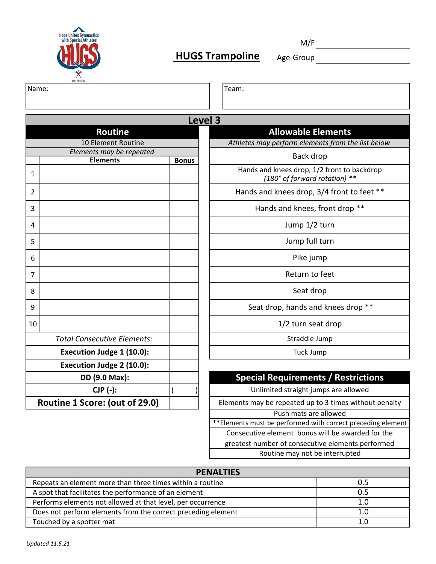

M/F

Name: Team:

|                |                                    |                 | Level 3 |
|----------------|------------------------------------|-----------------|---------|
|                | <b>Routine</b>                     |                 |         |
|                | 10 Element Routine                 |                 |         |
|                | Elements may be repeated           |                 |         |
|                | <b>Elements</b>                    | <b>Bonus</b>    |         |
| $\mathbf{1}$   |                                    |                 |         |
| $\overline{2}$ |                                    |                 |         |
| 3              |                                    |                 |         |
| 4              |                                    |                 |         |
| 5              |                                    |                 |         |
| 6              |                                    |                 |         |
| $\overline{7}$ |                                    |                 |         |
| 8              |                                    |                 |         |
| 9              |                                    |                 |         |
| 10             |                                    |                 |         |
|                | <b>Total Consecutive Elements:</b> |                 |         |
|                | Execution Judge 1 (10.0):          |                 |         |
|                | Execution Judge 2 (10.0):          |                 |         |
|                | DD (9.0 Max):                      |                 |         |
|                | CJP (-):                           | $\overline{(\}$ |         |
|                | Routine 1 Score: (out of 29.0)     |                 | E       |

| Athletes may perform elements from the list below |
|---------------------------------------------------|
| Back drop                                         |
| Hands and knees drop, 1/2 front to backdrop       |
| $(180°$ of forward rotation) **                   |

**Allowable Elements**

Hands and knees drop, 3/4 front to feet \*\*

Hands and knees, front drop \*\*

Jump 1/2 turn

Jump full turn

Pike jump

Return to feet

Seat drop

Seat drop, hands and knees drop \*\*

1/2 turn seat drop

Straddle Jump

Tuck Jump

#### **Special Requirements / Restrictions**

Unlimited straight jumps are allowed

ements may be repeated up to 3 times without penalty

Push mats are allowed

\*\*Elements must be performed with correct preceding element

Consecutive element bonus will be awarded for the

greatest number of consecutive elements performed

Routine may not be interrupted

| <b>PENALTIES</b>                                             |     |
|--------------------------------------------------------------|-----|
| Repeats an element more than three times within a routine    | 0.5 |
| A spot that facilitates the performance of an element        | 0.5 |
| Performs elements not allowed at that level, per occurrence  | 1.0 |
| Does not perform elements from the correct preceding element | 1.0 |
| Touched by a spotter mat                                     |     |